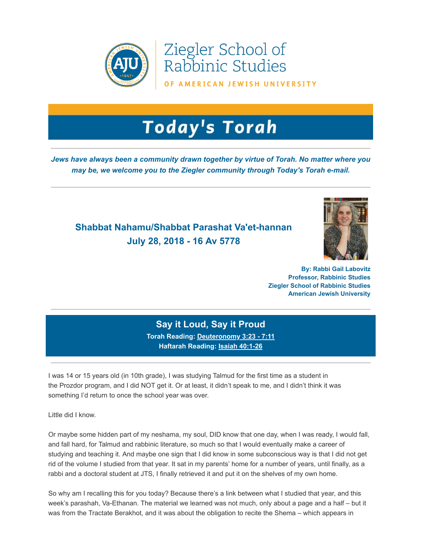

Ziegler School of Rabbinic Studies

OF AMERICAN JEWISH UNIVERSITY

## **Today's Torah**

*Jews have always been a community drawn together by virtue of Torah. No matter where you may be, we welcome you to the Ziegler community through Today's Torah e-mail.*

## **Shabbat Nahamu/Shabbat Parashat Va'et-hannan July 28, 2018 - 16 Av 5778**



**By: Rabbi Gail Labovitz Professor, Rabbinic Studies Ziegler School of Rabbinic Studies American Jewish University**

## **Say it Loud, Say it Proud**

**Torah Reading: [Deuteronomy 3:23 - 7:11](https://t.e2ma.net/click/01lqx/sziwr0/0ldtli) Haftarah Reading: [Isaiah](https://t.e2ma.net/click/01lqx/sziwr0/geetli) 40:1-26**

I was 14 or 15 years old (in 10th grade), I was studying Talmud for the first time as a student in the Prozdor program, and I did NOT get it. Or at least, it didn't speak to me, and I didn't think it was something I'd return to once the school year was over.

Little did I know.

Or maybe some hidden part of my neshama, my soul, DID know that one day, when I was ready, I would fall, and fall hard, for Talmud and rabbinic literature, so much so that I would eventually make a career of studying and teaching it. And maybe one sign that I did know in some subconscious way is that I did not get rid of the volume I studied from that year. It sat in my parents' home for a number of years, until finally, as a rabbi and a doctoral student at JTS, I finally retrieved it and put it on the shelves of my own home.

So why am I recalling this for you today? Because there's a link between what I studied that year, and this week's parashah, Va-Ethanan. The material we learned was not much, only about a page and a half – but it was from the Tractate Berakhot, and it was about the obligation to recite the Shema – which appears in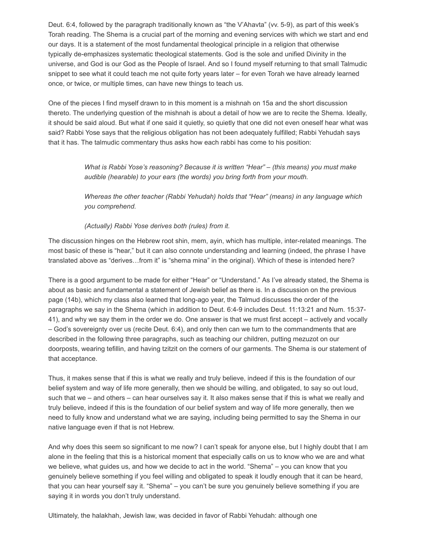Deut. 6:4, followed by the paragraph traditionally known as "the V'Ahavta" (vv. 5-9), as part of this week's Torah reading. The Shema is a crucial part of the morning and evening services with which we start and end our days. It is a statement of the most fundamental theological principle in a religion that otherwise typically de-emphasizes systematic theological statements. God is the sole and unified Divinity in the universe, and God is our God as the People of Israel. And so I found myself returning to that small Talmudic snippet to see what it could teach me not quite forty years later – for even Torah we have already learned once, or twice, or multiple times, can have new things to teach us.

One of the pieces I find myself drawn to in this moment is a mishnah on 15a and the short discussion thereto. The underlying question of the mishnah is about a detail of how we are to recite the Shema. Ideally, it should be said aloud. But what if one said it quietly, so quietly that one did not even oneself hear what was said? Rabbi Yose says that the religious obligation has not been adequately fulfilled; Rabbi Yehudah says that it has. The talmudic commentary thus asks how each rabbi has come to his position:

> *What is Rabbi Yose's reasoning? Because it is written "Hear" – (this means) you must make audible (hearable) to your ears (the words) you bring forth from your mouth.*

*Whereas the other teacher (Rabbi Yehudah) holds that "Hear" (means) in any language which you comprehend.* 

*(Actually) Rabbi Yose derives both (rules) from it.* 

The discussion hinges on the Hebrew root shin, mem, ayin, which has multiple, inter-related meanings. The most basic of these is "hear," but it can also connote understanding and learning (indeed, the phrase I have translated above as "derives…from it" is "shema mina" in the original). Which of these is intended here?

There is a good argument to be made for either "Hear" or "Understand." As I've already stated, the Shema is about as basic and fundamental a statement of Jewish belief as there is. In a discussion on the previous page (14b), which my class also learned that long-ago year, the Talmud discusses the order of the paragraphs we say in the Shema (which in addition to Deut. 6:4-9 includes Deut. 11:13:21 and Num. 15:37- 41), and why we say them in the order we do. One answer is that we must first accept – actively and vocally – God's sovereignty over us (recite Deut. 6:4), and only then can we turn to the commandments that are described in the following three paragraphs, such as teaching our children, putting mezuzot on our doorposts, wearing tefillin, and having tzitzit on the corners of our garments. The Shema is our statement of that acceptance.

Thus, it makes sense that if this is what we really and truly believe, indeed if this is the foundation of our belief system and way of life more generally, then we should be willing, and obligated, to say so out loud, such that we – and others – can hear ourselves say it. It also makes sense that if this is what we really and truly believe, indeed if this is the foundation of our belief system and way of life more generally, then we need to fully know and understand what we are saying, including being permitted to say the Shema in our native language even if that is not Hebrew.

And why does this seem so significant to me now? I can't speak for anyone else, but I highly doubt that I am alone in the feeling that this is a historical moment that especially calls on us to know who we are and what we believe, what guides us, and how we decide to act in the world. "Shema" – you can know that you genuinely believe something if you feel willing and obligated to speak it loudly enough that it can be heard, that you can hear yourself say it. "Shema" – you can't be sure you genuinely believe something if you are saying it in words you don't truly understand.

Ultimately, the halakhah, Jewish law, was decided in favor of Rabbi Yehudah: although one